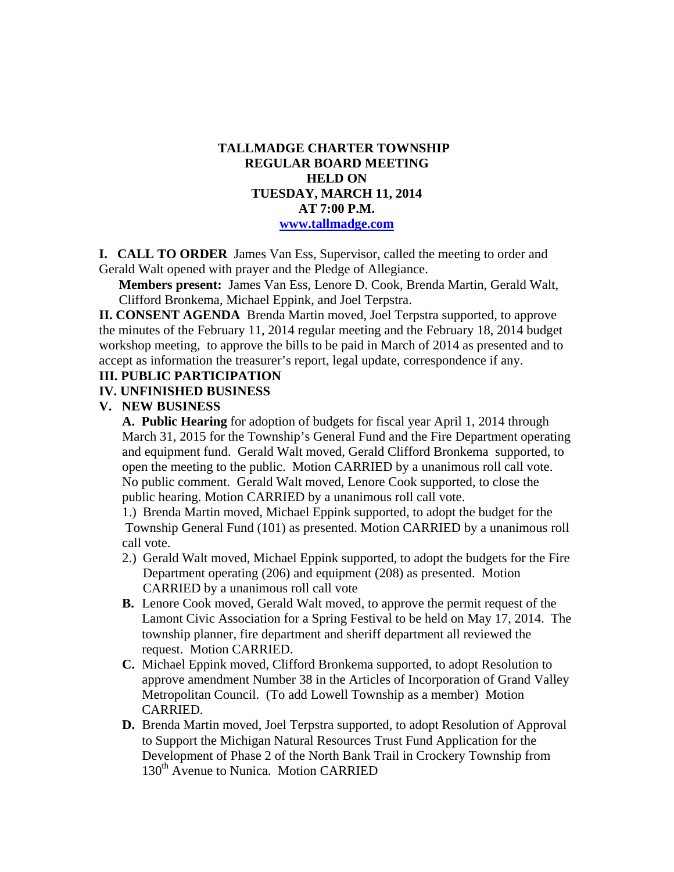## **TALLMADGE CHARTER TOWNSHIP REGULAR BOARD MEETING HELD ON TUESDAY, MARCH 11, 2014 AT 7:00 P.M. www.tallmadge.com**

**I. CALL TO ORDER** James Van Ess, Supervisor, called the meeting to order and Gerald Walt opened with prayer and the Pledge of Allegiance.

**Members present:** James Van Ess, Lenore D. Cook, Brenda Martin, Gerald Walt, Clifford Bronkema, Michael Eppink, and Joel Terpstra.

**II. CONSENT AGENDA** Brenda Martin moved, Joel Terpstra supported, to approve the minutes of the February 11, 2014 regular meeting and the February 18, 2014 budget workshop meeting, to approve the bills to be paid in March of 2014 as presented and to accept as information the treasurer's report, legal update, correspondence if any.

### **III. PUBLIC PARTICIPATION**

#### **IV. UNFINISHED BUSINESS**

### **V. NEW BUSINESS**

 **A. Public Hearing** for adoption of budgets for fiscal year April 1, 2014 through March 31, 2015 for the Township's General Fund and the Fire Department operating and equipment fund. Gerald Walt moved, Gerald Clifford Bronkema supported, to open the meeting to the public. Motion CARRIED by a unanimous roll call vote. No public comment. Gerald Walt moved, Lenore Cook supported, to close the public hearing. Motion CARRIED by a unanimous roll call vote.

1.) Brenda Martin moved, Michael Eppink supported, to adopt the budget for the Township General Fund (101) as presented. Motion CARRIED by a unanimous roll call vote.

- 2.) Gerald Walt moved, Michael Eppink supported, to adopt the budgets for the Fire Department operating (206) and equipment (208) as presented. Motion CARRIED by a unanimous roll call vote
- **B.** Lenore Cook moved, Gerald Walt moved, to approve the permit request of the Lamont Civic Association for a Spring Festival to be held on May 17, 2014. The township planner, fire department and sheriff department all reviewed the request. Motion CARRIED.
- **C.** Michael Eppink moved, Clifford Bronkema supported, to adopt Resolution to approve amendment Number 38 in the Articles of Incorporation of Grand Valley Metropolitan Council. (To add Lowell Township as a member) Motion CARRIED.
- **D.** Brenda Martin moved, Joel Terpstra supported, to adopt Resolution of Approval to Support the Michigan Natural Resources Trust Fund Application for the Development of Phase 2 of the North Bank Trail in Crockery Township from 130<sup>th</sup> Avenue to Nunica. Motion CARRIED